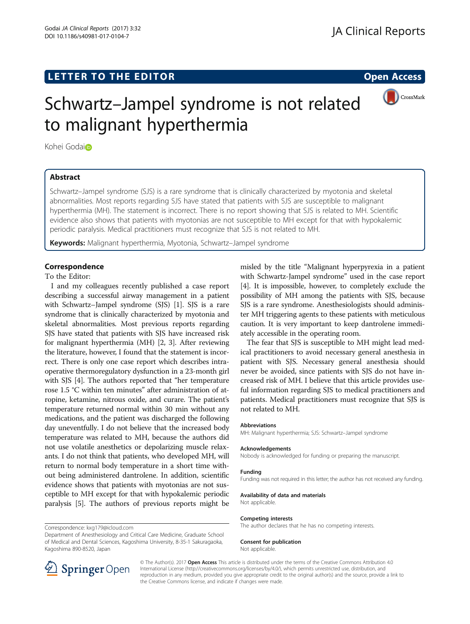# LETTER TO THE EDITOR **CONSIDERATION**



# Schwartz–Jampel syndrome is not related to malignant hyperthermia

Kohei Godaio

# Abstract

Schwartz–Jampel syndrome (SJS) is a rare syndrome that is clinically characterized by myotonia and skeletal abnormalities. Most reports regarding SJS have stated that patients with SJS are susceptible to malignant hyperthermia (MH). The statement is incorrect. There is no report showing that SJS is related to MH. Scientific evidence also shows that patients with myotonias are not susceptible to MH except for that with hypokalemic periodic paralysis. Medical practitioners must recognize that SJS is not related to MH.

Keywords: Malignant hyperthermia, Myotonia, Schwartz–Jampel syndrome

## Correspondence

To the Editor:

I and my colleagues recently published a case report describing a successful airway management in a patient with Schwartz–Jampel syndrome (SJS) [\[1](#page-1-0)]. SJS is a rare syndrome that is clinically characterized by myotonia and skeletal abnormalities. Most previous reports regarding SJS have stated that patients with SJS have increased risk for malignant hyperthermia (MH) [\[2, 3\]](#page-1-0). After reviewing the literature, however, I found that the statement is incorrect. There is only one case report which describes intraoperative thermoregulatory dysfunction in a 23-month girl with SJS [\[4](#page-1-0)]. The authors reported that "her temperature rose 1.5 °C within ten minutes" after administration of atropine, ketamine, nitrous oxide, and curare. The patient's temperature returned normal within 30 min without any medications, and the patient was discharged the following day uneventfully. I do not believe that the increased body temperature was related to MH, because the authors did not use volatile anesthetics or depolarizing muscle relaxants. I do not think that patients, who developed MH, will return to normal body temperature in a short time without being administered dantrolene. In addition, scientific evidence shows that patients with myotonias are not susceptible to MH except for that with hypokalemic periodic paralysis [\[5](#page-1-0)]. The authors of previous reports might be

misled by the title "Malignant hyperpyrexia in a patient with Schwartz-Jampel syndrome" used in the case report [[4\]](#page-1-0). It is impossible, however, to completely exclude the possibility of MH among the patients with SJS, because SJS is a rare syndrome. Anesthesiologists should administer MH triggering agents to these patients with meticulous caution. It is very important to keep dantrolene immediately accessible in the operating room.

The fear that SJS is susceptible to MH might lead medical practitioners to avoid necessary general anesthesia in patient with SJS. Necessary general anesthesia should never be avoided, since patients with SJS do not have increased risk of MH. I believe that this article provides useful information regarding SJS to medical practitioners and patients. Medical practitioners must recognize that SJS is not related to MH.

#### Abbreviations

MH: Malignant hyperthermia; SJS: Schwartz–Jampel syndrome

#### Acknowledgements

Nobody is acknowledged for funding or preparing the manuscript.

#### Funding

Funding was not required in this letter; the author has not received any funding.

Availability of data and materials

Not applicable.

#### Competing interests

The author declares that he has no competing interests.

#### Consent for publication

Not applicable.



© The Author(s). 2017 Open Access This article is distributed under the terms of the Creative Commons Attribution 4.0 International License ([http://creativecommons.org/licenses/by/4.0/\)](http://creativecommons.org/licenses/by/4.0/), which permits unrestricted use, distribution, and reproduction in any medium, provided you give appropriate credit to the original author(s) and the source, provide a link to the Creative Commons license, and indicate if changes were made.

Correspondence: [kxg179@icloud.com](mailto:kxg179@icloud.com)

Department of Anesthesiology and Critical Care Medicine, Graduate School of Medical and Dental Sciences, Kagoshima University, 8-35-1 Sakuragaoka, Kagoshima 890-8520, Japan